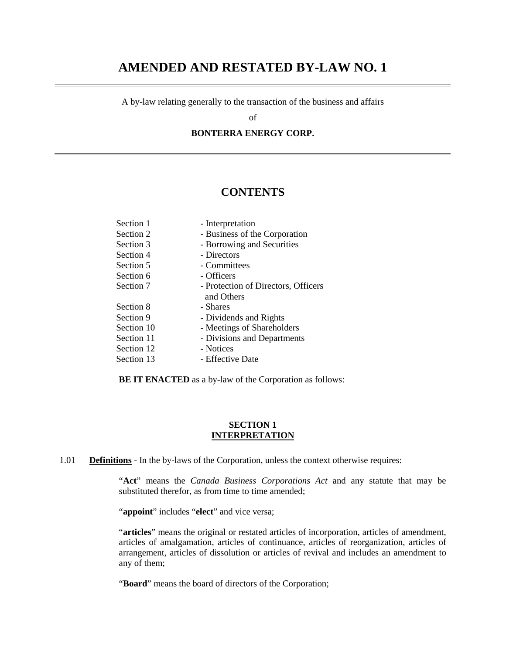# **AMENDED AND RESTATED BY-LAW NO. 1**

A by-law relating generally to the transaction of the business and affairs

of

**BONTERRA ENERGY CORP.** 

# **CONTENTS**

| - Interpretation                    |
|-------------------------------------|
| - Business of the Corporation       |
| - Borrowing and Securities          |
| - Directors                         |
| - Committees                        |
| - Officers                          |
| - Protection of Directors, Officers |
| and Others                          |
| - Shares                            |
| - Dividends and Rights              |
| - Meetings of Shareholders          |
| - Divisions and Departments         |
| - Notices                           |
| - Effective Date                    |
|                                     |

**BE IT ENACTED** as a by-law of the Corporation as follows:

#### **SECTION 1 INTERPRETATION**

1.01 **Definitions** - In the by-laws of the Corporation, unless the context otherwise requires:

"**Act**" means the *Canada Business Corporations Act* and any statute that may be substituted therefor, as from time to time amended;

"**appoint**" includes "**elect**" and vice versa;

"articles" means the original or restated articles of incorporation, articles of amendment, articles of amalgamation, articles of continuance, articles of reorganization, articles of arrangement, articles of dissolution or articles of revival and includes an amendment to any of them;

"**Board**" means the board of directors of the Corporation;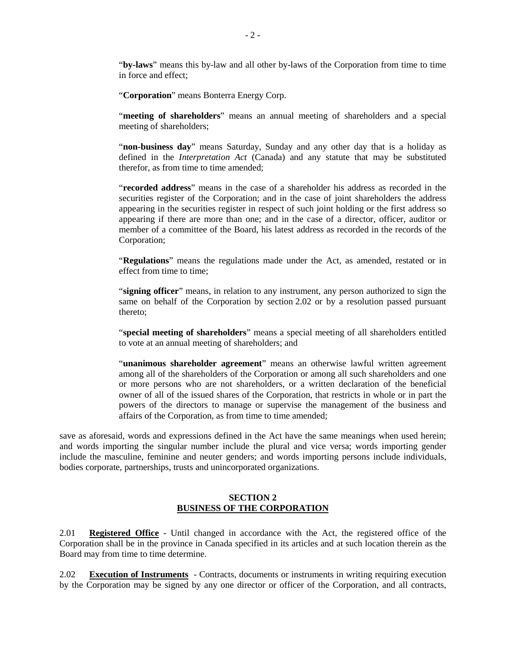"**by-laws**" means this by-law and all other by-laws of the Corporation from time to time in force and effect;

"**Corporation**" means Bonterra Energy Corp.

"**meeting of shareholders**" means an annual meeting of shareholders and a special meeting of shareholders;

"**non-business day**" means Saturday, Sunday and any other day that is a holiday as defined in the *Interpretation Act* (Canada) and any statute that may be substituted therefor, as from time to time amended;

"**recorded address**" means in the case of a shareholder his address as recorded in the securities register of the Corporation; and in the case of joint shareholders the address appearing in the securities register in respect of such joint holding or the first address so appearing if there are more than one; and in the case of a director, officer, auditor or member of a committee of the Board, his latest address as recorded in the records of the Corporation;

"**Regulations**" means the regulations made under the Act, as amended, restated or in effect from time to time;

"**signing officer**" means, in relation to any instrument, any person authorized to sign the same on behalf of the Corporation by section 2.02 or by a resolution passed pursuant thereto;

"**special meeting of shareholders**" means a special meeting of all shareholders entitled to vote at an annual meeting of shareholders; and

"**unanimous shareholder agreement**" means an otherwise lawful written agreement among all of the shareholders of the Corporation or among all such shareholders and one or more persons who are not shareholders, or a written declaration of the beneficial owner of all of the issued shares of the Corporation, that restricts in whole or in part the powers of the directors to manage or supervise the management of the business and affairs of the Corporation, as from time to time amended;

save as aforesaid, words and expressions defined in the Act have the same meanings when used herein; and words importing the singular number include the plural and vice versa; words importing gender include the masculine, feminine and neuter genders; and words importing persons include individuals, bodies corporate, partnerships, trusts and unincorporated organizations.

#### **SECTION 2 BUSINESS OF THE CORPORATION**

2.01 **Registered Office** - Until changed in accordance with the Act, the registered office of the Corporation shall be in the province in Canada specified in its articles and at such location therein as the Board may from time to time determine.

2.02 **Execution of Instruments** - Contracts, documents or instruments in writing requiring execution by the Corporation may be signed by any one director or officer of the Corporation, and all contracts,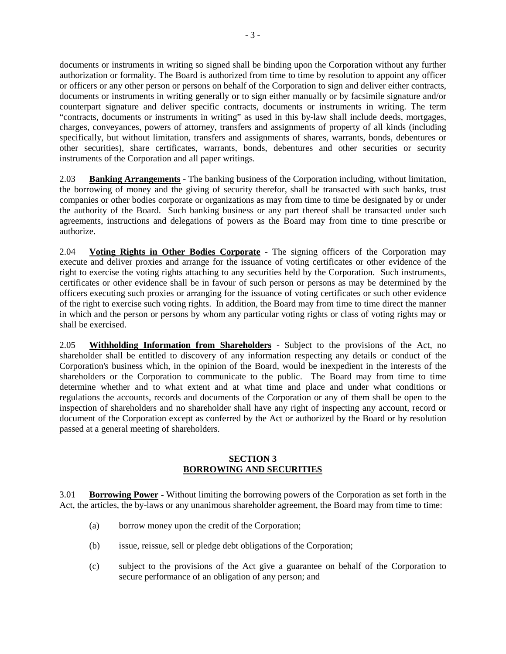documents or instruments in writing so signed shall be binding upon the Corporation without any further authorization or formality. The Board is authorized from time to time by resolution to appoint any officer or officers or any other person or persons on behalf of the Corporation to sign and deliver either contracts, documents or instruments in writing generally or to sign either manually or by facsimile signature and/or counterpart signature and deliver specific contracts, documents or instruments in writing. The term "contracts, documents or instruments in writing" as used in this by-law shall include deeds, mortgages, charges, conveyances, powers of attorney, transfers and assignments of property of all kinds (including specifically, but without limitation, transfers and assignments of shares, warrants, bonds, debentures or other securities), share certificates, warrants, bonds, debentures and other securities or security instruments of the Corporation and all paper writings.

2.03 **Banking Arrangements** - The banking business of the Corporation including, without limitation, the borrowing of money and the giving of security therefor, shall be transacted with such banks, trust companies or other bodies corporate or organizations as may from time to time be designated by or under the authority of the Board. Such banking business or any part thereof shall be transacted under such agreements, instructions and delegations of powers as the Board may from time to time prescribe or authorize.

2.04 **Voting Rights in Other Bodies Corporate** - The signing officers of the Corporation may execute and deliver proxies and arrange for the issuance of voting certificates or other evidence of the right to exercise the voting rights attaching to any securities held by the Corporation. Such instruments, certificates or other evidence shall be in favour of such person or persons as may be determined by the officers executing such proxies or arranging for the issuance of voting certificates or such other evidence of the right to exercise such voting rights. In addition, the Board may from time to time direct the manner in which and the person or persons by whom any particular voting rights or class of voting rights may or shall be exercised.

2.05 **Withholding Information from Shareholders** - Subject to the provisions of the Act, no shareholder shall be entitled to discovery of any information respecting any details or conduct of the Corporation's business which, in the opinion of the Board, would be inexpedient in the interests of the shareholders or the Corporation to communicate to the public. The Board may from time to time determine whether and to what extent and at what time and place and under what conditions or regulations the accounts, records and documents of the Corporation or any of them shall be open to the inspection of shareholders and no shareholder shall have any right of inspecting any account, record or document of the Corporation except as conferred by the Act or authorized by the Board or by resolution passed at a general meeting of shareholders.

#### **SECTION 3 BORROWING AND SECURITIES**

3.01 **Borrowing Power** - Without limiting the borrowing powers of the Corporation as set forth in the Act, the articles, the by-laws or any unanimous shareholder agreement, the Board may from time to time:

- (a) borrow money upon the credit of the Corporation;
- (b) issue, reissue, sell or pledge debt obligations of the Corporation;
- (c) subject to the provisions of the Act give a guarantee on behalf of the Corporation to secure performance of an obligation of any person; and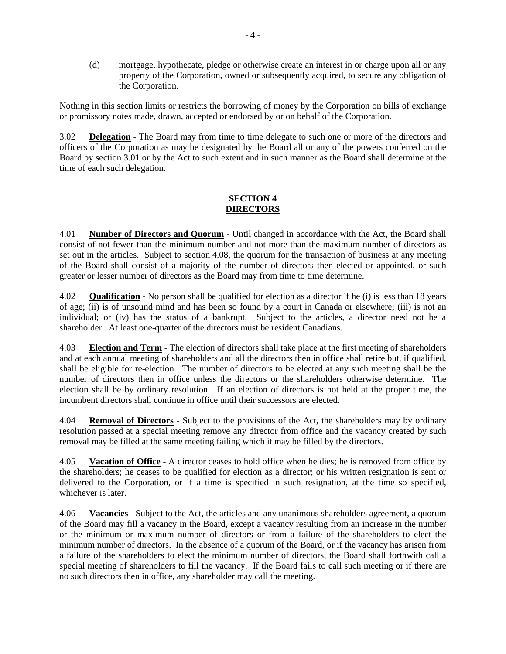(d) mortgage, hypothecate, pledge or otherwise create an interest in or charge upon all or any property of the Corporation, owned or subsequently acquired, to secure any obligation of the Corporation.

Nothing in this section limits or restricts the borrowing of money by the Corporation on bills of exchange or promissory notes made, drawn, accepted or endorsed by or on behalf of the Corporation.

3.02 **Delegation** - The Board may from time to time delegate to such one or more of the directors and officers of the Corporation as may be designated by the Board all or any of the powers conferred on the Board by section 3.01 or by the Act to such extent and in such manner as the Board shall determine at the time of each such delegation.

# **SECTION 4 DIRECTORS**

4.01 **Number of Directors and Quorum** - Until changed in accordance with the Act, the Board shall consist of not fewer than the minimum number and not more than the maximum number of directors as set out in the articles. Subject to section 4.08, the quorum for the transaction of business at any meeting of the Board shall consist of a majority of the number of directors then elected or appointed, or such greater or lesser number of directors as the Board may from time to time determine.

4.02 **Qualification** - No person shall be qualified for election as a director if he (i) is less than 18 years of age; (ii) is of unsound mind and has been so found by a court in Canada or elsewhere; (iii) is not an individual; or (iv) has the status of a bankrupt. Subject to the articles, a director need not be a shareholder. At least one-quarter of the directors must be resident Canadians.

4.03 **Election and Term** - The election of directors shall take place at the first meeting of shareholders and at each annual meeting of shareholders and all the directors then in office shall retire but, if qualified, shall be eligible for re-election. The number of directors to be elected at any such meeting shall be the number of directors then in office unless the directors or the shareholders otherwise determine. The election shall be by ordinary resolution. If an election of directors is not held at the proper time, the incumbent directors shall continue in office until their successors are elected.

4.04 **Removal of Directors** - Subject to the provisions of the Act, the shareholders may by ordinary resolution passed at a special meeting remove any director from office and the vacancy created by such removal may be filled at the same meeting failing which it may be filled by the directors.

4.05 **Vacation of Office** - A director ceases to hold office when he dies; he is removed from office by the shareholders; he ceases to be qualified for election as a director; or his written resignation is sent or delivered to the Corporation, or if a time is specified in such resignation, at the time so specified, whichever is later.

4.06 **Vacancies** - Subject to the Act, the articles and any unanimous shareholders agreement, a quorum of the Board may fill a vacancy in the Board, except a vacancy resulting from an increase in the number or the minimum or maximum number of directors or from a failure of the shareholders to elect the minimum number of directors. In the absence of a quorum of the Board, or if the vacancy has arisen from a failure of the shareholders to elect the minimum number of directors, the Board shall forthwith call a special meeting of shareholders to fill the vacancy. If the Board fails to call such meeting or if there are no such directors then in office, any shareholder may call the meeting.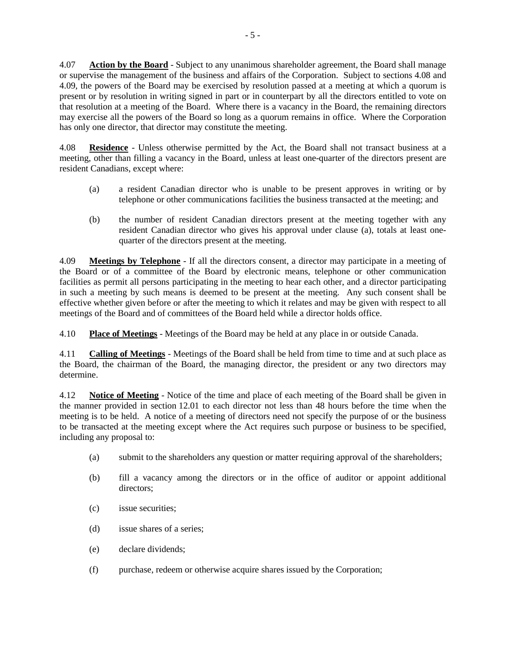4.07 **Action by the Board** - Subject to any unanimous shareholder agreement, the Board shall manage or supervise the management of the business and affairs of the Corporation. Subject to sections 4.08 and 4.09, the powers of the Board may be exercised by resolution passed at a meeting at which a quorum is present or by resolution in writing signed in part or in counterpart by all the directors entitled to vote on that resolution at a meeting of the Board. Where there is a vacancy in the Board, the remaining directors may exercise all the powers of the Board so long as a quorum remains in office. Where the Corporation has only one director, that director may constitute the meeting.

4.08 **Residence** - Unless otherwise permitted by the Act, the Board shall not transact business at a meeting, other than filling a vacancy in the Board, unless at least one-quarter of the directors present are resident Canadians, except where:

- (a) a resident Canadian director who is unable to be present approves in writing or by telephone or other communications facilities the business transacted at the meeting; and
- (b) the number of resident Canadian directors present at the meeting together with any resident Canadian director who gives his approval under clause (a), totals at least onequarter of the directors present at the meeting.

4.09 **Meetings by Telephone** - If all the directors consent, a director may participate in a meeting of the Board or of a committee of the Board by electronic means, telephone or other communication facilities as permit all persons participating in the meeting to hear each other, and a director participating in such a meeting by such means is deemed to be present at the meeting. Any such consent shall be effective whether given before or after the meeting to which it relates and may be given with respect to all meetings of the Board and of committees of the Board held while a director holds office.

4.10 **Place of Meetings** - Meetings of the Board may be held at any place in or outside Canada.

4.11 **Calling of Meetings** - Meetings of the Board shall be held from time to time and at such place as the Board, the chairman of the Board, the managing director, the president or any two directors may determine.

4.12 **Notice of Meeting** - Notice of the time and place of each meeting of the Board shall be given in the manner provided in section 12.01 to each director not less than 48 hours before the time when the meeting is to be held. A notice of a meeting of directors need not specify the purpose of or the business to be transacted at the meeting except where the Act requires such purpose or business to be specified, including any proposal to:

- (a) submit to the shareholders any question or matter requiring approval of the shareholders;
- (b) fill a vacancy among the directors or in the office of auditor or appoint additional directors;
- (c) issue securities;
- (d) issue shares of a series;
- (e) declare dividends;
- (f) purchase, redeem or otherwise acquire shares issued by the Corporation;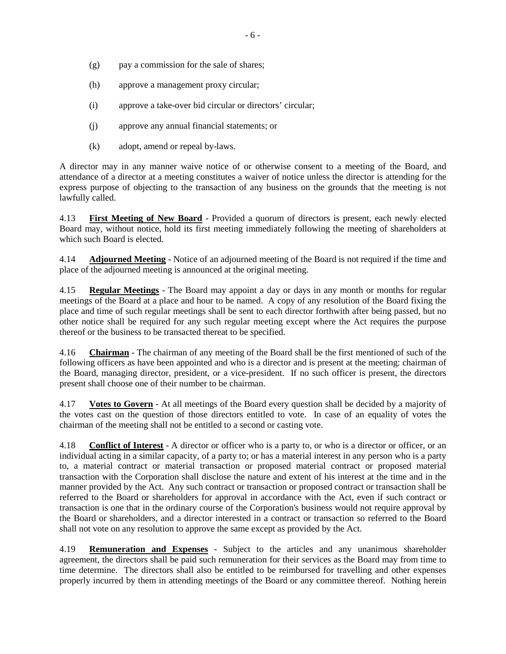- (g) pay a commission for the sale of shares;
- (h) approve a management proxy circular;
- (i) approve a take-over bid circular or directors' circular;
- (j) approve any annual financial statements; or
- (k) adopt, amend or repeal by-laws.

A director may in any manner waive notice of or otherwise consent to a meeting of the Board, and attendance of a director at a meeting constitutes a waiver of notice unless the director is attending for the express purpose of objecting to the transaction of any business on the grounds that the meeting is not lawfully called.

4.13 **First Meeting of New Board** - Provided a quorum of directors is present, each newly elected Board may, without notice, hold its first meeting immediately following the meeting of shareholders at which such Board is elected.

4.14 **Adjourned Meeting** - Notice of an adjourned meeting of the Board is not required if the time and place of the adjourned meeting is announced at the original meeting.

4.15 **Regular Meetings** - The Board may appoint a day or days in any month or months for regular meetings of the Board at a place and hour to be named. A copy of any resolution of the Board fixing the place and time of such regular meetings shall be sent to each director forthwith after being passed, but no other notice shall be required for any such regular meeting except where the Act requires the purpose thereof or the business to be transacted thereat to be specified.

4.16 **Chairman** - The chairman of any meeting of the Board shall be the first mentioned of such of the following officers as have been appointed and who is a director and is present at the meeting: chairman of the Board, managing director, president, or a vice-president. If no such officer is present, the directors present shall choose one of their number to be chairman.

4.17 **Votes to Govern** - At all meetings of the Board every question shall be decided by a majority of the votes cast on the question of those directors entitled to vote. In case of an equality of votes the chairman of the meeting shall not be entitled to a second or casting vote.

4.18 **Conflict of Interest** - A director or officer who is a party to, or who is a director or officer, or an individual acting in a similar capacity, of a party to; or has a material interest in any person who is a party to, a material contract or material transaction or proposed material contract or proposed material transaction with the Corporation shall disclose the nature and extent of his interest at the time and in the manner provided by the Act. Any such contract or transaction or proposed contract or transaction shall be referred to the Board or shareholders for approval in accordance with the Act, even if such contract or transaction is one that in the ordinary course of the Corporation's business would not require approval by the Board or shareholders, and a director interested in a contract or transaction so referred to the Board shall not vote on any resolution to approve the same except as provided by the Act.

4.19 **Remuneration and Expenses** - Subject to the articles and any unanimous shareholder agreement, the directors shall be paid such remuneration for their services as the Board may from time to time determine. The directors shall also be entitled to be reimbursed for travelling and other expenses properly incurred by them in attending meetings of the Board or any committee thereof. Nothing herein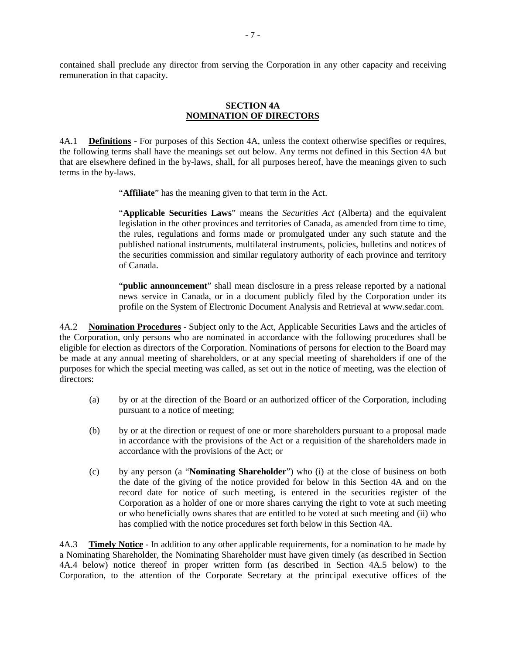contained shall preclude any director from serving the Corporation in any other capacity and receiving remuneration in that capacity.

#### **SECTION 4A NOMINATION OF DIRECTORS**

4A.1 **Definitions** - For purposes of this Section 4A, unless the context otherwise specifies or requires, the following terms shall have the meanings set out below. Any terms not defined in this Section 4A but that are elsewhere defined in the by-laws, shall, for all purposes hereof, have the meanings given to such terms in the by-laws.

"**Affiliate**" has the meaning given to that term in the Act.

"**Applicable Securities Laws**" means the *Securities Act* (Alberta) and the equivalent legislation in the other provinces and territories of Canada, as amended from time to time, the rules, regulations and forms made or promulgated under any such statute and the published national instruments, multilateral instruments, policies, bulletins and notices of the securities commission and similar regulatory authority of each province and territory of Canada.

"**public announcement**" shall mean disclosure in a press release reported by a national news service in Canada, or in a document publicly filed by the Corporation under its profile on the System of Electronic Document Analysis and Retrieval at www.sedar.com.

4A.2 **Nomination Procedures** - Subject only to the Act, Applicable Securities Laws and the articles of the Corporation, only persons who are nominated in accordance with the following procedures shall be eligible for election as directors of the Corporation. Nominations of persons for election to the Board may be made at any annual meeting of shareholders, or at any special meeting of shareholders if one of the purposes for which the special meeting was called, as set out in the notice of meeting, was the election of directors:

- (a) by or at the direction of the Board or an authorized officer of the Corporation, including pursuant to a notice of meeting;
- (b) by or at the direction or request of one or more shareholders pursuant to a proposal made in accordance with the provisions of the Act or a requisition of the shareholders made in accordance with the provisions of the Act; or
- (c) by any person (a "**Nominating Shareholder**") who (i) at the close of business on both the date of the giving of the notice provided for below in this Section 4A and on the record date for notice of such meeting, is entered in the securities register of the Corporation as a holder of one or more shares carrying the right to vote at such meeting or who beneficially owns shares that are entitled to be voted at such meeting and (ii) who has complied with the notice procedures set forth below in this Section 4A.

4A.3 **Timely Notice** - In addition to any other applicable requirements, for a nomination to be made by a Nominating Shareholder, the Nominating Shareholder must have given timely (as described in Section 4A.4 below) notice thereof in proper written form (as described in Section 4A.5 below) to the Corporation, to the attention of the Corporate Secretary at the principal executive offices of the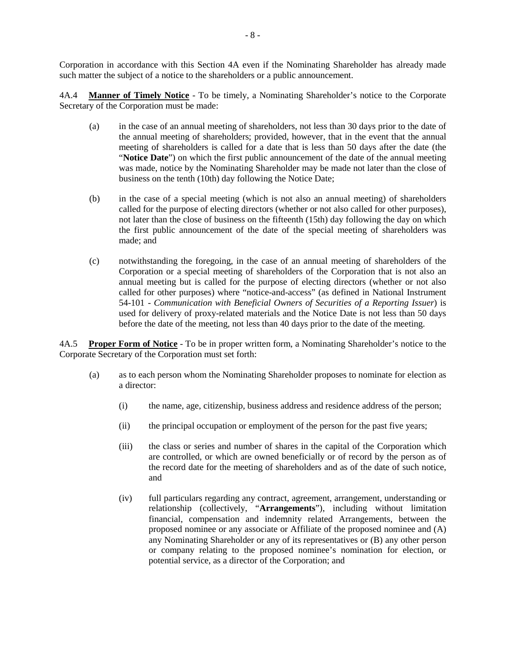Corporation in accordance with this Section 4A even if the Nominating Shareholder has already made such matter the subject of a notice to the shareholders or a public announcement.

4A.4 **Manner of Timely Notice** - To be timely, a Nominating Shareholder's notice to the Corporate Secretary of the Corporation must be made:

- (a) in the case of an annual meeting of shareholders, not less than 30 days prior to the date of the annual meeting of shareholders; provided, however, that in the event that the annual meeting of shareholders is called for a date that is less than 50 days after the date (the "**Notice Date**") on which the first public announcement of the date of the annual meeting was made, notice by the Nominating Shareholder may be made not later than the close of business on the tenth (10th) day following the Notice Date;
- (b) in the case of a special meeting (which is not also an annual meeting) of shareholders called for the purpose of electing directors (whether or not also called for other purposes), not later than the close of business on the fifteenth (15th) day following the day on which the first public announcement of the date of the special meeting of shareholders was made; and
- (c) notwithstanding the foregoing, in the case of an annual meeting of shareholders of the Corporation or a special meeting of shareholders of the Corporation that is not also an annual meeting but is called for the purpose of electing directors (whether or not also called for other purposes) where "notice-and-access" (as defined in National Instrument 54-101 - *Communication with Beneficial Owners of Securities of a Reporting Issuer*) is used for delivery of proxy-related materials and the Notice Date is not less than 50 days before the date of the meeting, not less than 40 days prior to the date of the meeting.

4A.5 **Proper Form of Notice** - To be in proper written form, a Nominating Shareholder's notice to the Corporate Secretary of the Corporation must set forth:

- (a) as to each person whom the Nominating Shareholder proposes to nominate for election as a director:
	- (i) the name, age, citizenship, business address and residence address of the person;
	- (ii) the principal occupation or employment of the person for the past five years;
	- (iii) the class or series and number of shares in the capital of the Corporation which are controlled, or which are owned beneficially or of record by the person as of the record date for the meeting of shareholders and as of the date of such notice, and
	- (iv) full particulars regarding any contract, agreement, arrangement, understanding or relationship (collectively, "**Arrangements**"), including without limitation financial, compensation and indemnity related Arrangements, between the proposed nominee or any associate or Affiliate of the proposed nominee and (A) any Nominating Shareholder or any of its representatives or (B) any other person or company relating to the proposed nominee's nomination for election, or potential service, as a director of the Corporation; and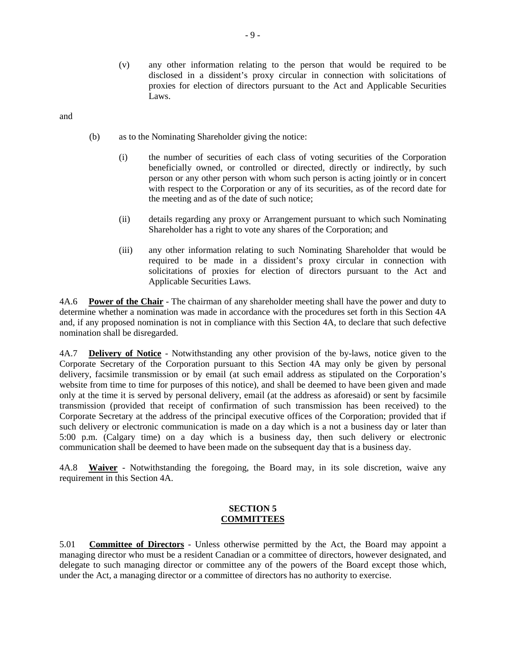(v) any other information relating to the person that would be required to be disclosed in a dissident's proxy circular in connection with solicitations of proxies for election of directors pursuant to the Act and Applicable Securities Laws.

and

- (b) as to the Nominating Shareholder giving the notice:
	- (i) the number of securities of each class of voting securities of the Corporation beneficially owned, or controlled or directed, directly or indirectly, by such person or any other person with whom such person is acting jointly or in concert with respect to the Corporation or any of its securities, as of the record date for the meeting and as of the date of such notice;
	- (ii) details regarding any proxy or Arrangement pursuant to which such Nominating Shareholder has a right to vote any shares of the Corporation; and
	- (iii) any other information relating to such Nominating Shareholder that would be required to be made in a dissident's proxy circular in connection with solicitations of proxies for election of directors pursuant to the Act and Applicable Securities Laws.

4A.6 **Power of the Chair** - The chairman of any shareholder meeting shall have the power and duty to determine whether a nomination was made in accordance with the procedures set forth in this Section 4A and, if any proposed nomination is not in compliance with this Section 4A, to declare that such defective nomination shall be disregarded.

4A.7 **Delivery of Notice** - Notwithstanding any other provision of the by-laws, notice given to the Corporate Secretary of the Corporation pursuant to this Section 4A may only be given by personal delivery, facsimile transmission or by email (at such email address as stipulated on the Corporation's website from time to time for purposes of this notice), and shall be deemed to have been given and made only at the time it is served by personal delivery, email (at the address as aforesaid) or sent by facsimile transmission (provided that receipt of confirmation of such transmission has been received) to the Corporate Secretary at the address of the principal executive offices of the Corporation; provided that if such delivery or electronic communication is made on a day which is a not a business day or later than 5:00 p.m. (Calgary time) on a day which is a business day, then such delivery or electronic communication shall be deemed to have been made on the subsequent day that is a business day.

4A.8 **Waiver** - Notwithstanding the foregoing, the Board may, in its sole discretion, waive any requirement in this Section 4A.

#### **SECTION 5 COMMITTEES**

5.01 **Committee of Directors** - Unless otherwise permitted by the Act, the Board may appoint a managing director who must be a resident Canadian or a committee of directors, however designated, and delegate to such managing director or committee any of the powers of the Board except those which, under the Act, a managing director or a committee of directors has no authority to exercise.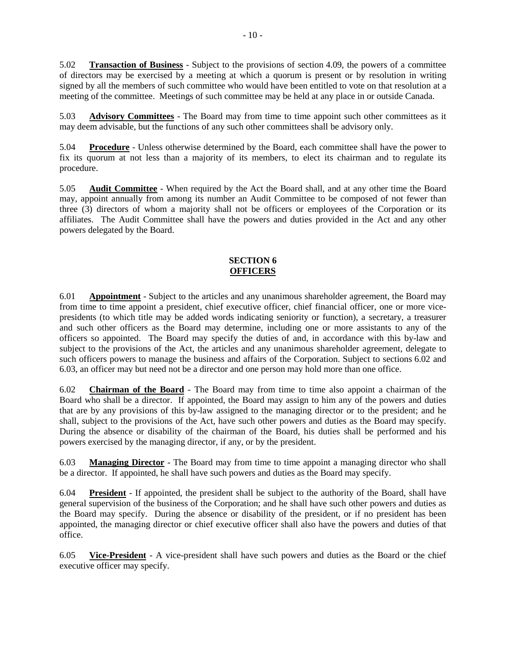5.02 **Transaction of Business** - Subject to the provisions of section 4.09, the powers of a committee of directors may be exercised by a meeting at which a quorum is present or by resolution in writing signed by all the members of such committee who would have been entitled to vote on that resolution at a meeting of the committee. Meetings of such committee may be held at any place in or outside Canada.

5.03 **Advisory Committees** - The Board may from time to time appoint such other committees as it may deem advisable, but the functions of any such other committees shall be advisory only.

5.04 **Procedure** - Unless otherwise determined by the Board, each committee shall have the power to fix its quorum at not less than a majority of its members, to elect its chairman and to regulate its procedure.

5.05 **Audit Committee** - When required by the Act the Board shall, and at any other time the Board may, appoint annually from among its number an Audit Committee to be composed of not fewer than three (3) directors of whom a majority shall not be officers or employees of the Corporation or its affiliates. The Audit Committee shall have the powers and duties provided in the Act and any other powers delegated by the Board.

#### **SECTION 6 OFFICERS**

6.01 **Appointment** - Subject to the articles and any unanimous shareholder agreement, the Board may from time to time appoint a president, chief executive officer, chief financial officer, one or more vicepresidents (to which title may be added words indicating seniority or function), a secretary, a treasurer and such other officers as the Board may determine, including one or more assistants to any of the officers so appointed. The Board may specify the duties of and, in accordance with this by-law and subject to the provisions of the Act, the articles and any unanimous shareholder agreement, delegate to such officers powers to manage the business and affairs of the Corporation. Subject to sections 6.02 and 6.03, an officer may but need not be a director and one person may hold more than one office.

6.02 **Chairman of the Board** - The Board may from time to time also appoint a chairman of the Board who shall be a director. If appointed, the Board may assign to him any of the powers and duties that are by any provisions of this by-law assigned to the managing director or to the president; and he shall, subject to the provisions of the Act, have such other powers and duties as the Board may specify. During the absence or disability of the chairman of the Board, his duties shall be performed and his powers exercised by the managing director, if any, or by the president.

6.03 **Managing Director** - The Board may from time to time appoint a managing director who shall be a director. If appointed, he shall have such powers and duties as the Board may specify.

6.04 **President** - If appointed, the president shall be subject to the authority of the Board, shall have general supervision of the business of the Corporation; and he shall have such other powers and duties as the Board may specify. During the absence or disability of the president, or if no president has been appointed, the managing director or chief executive officer shall also have the powers and duties of that office.

6.05 **Vice-President** - A vice-president shall have such powers and duties as the Board or the chief executive officer may specify.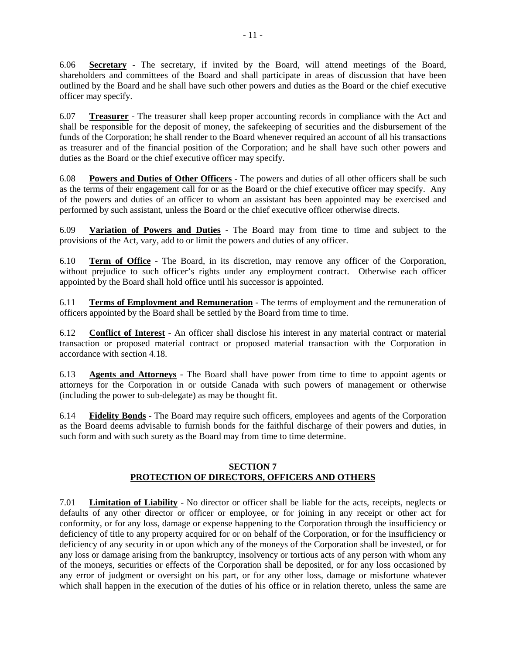6.06 **Secretary** - The secretary, if invited by the Board, will attend meetings of the Board, shareholders and committees of the Board and shall participate in areas of discussion that have been outlined by the Board and he shall have such other powers and duties as the Board or the chief executive officer may specify.

6.07 **Treasurer** - The treasurer shall keep proper accounting records in compliance with the Act and shall be responsible for the deposit of money, the safekeeping of securities and the disbursement of the funds of the Corporation; he shall render to the Board whenever required an account of all his transactions as treasurer and of the financial position of the Corporation; and he shall have such other powers and duties as the Board or the chief executive officer may specify.

6.08 **Powers and Duties of Other Officers** - The powers and duties of all other officers shall be such as the terms of their engagement call for or as the Board or the chief executive officer may specify. Any of the powers and duties of an officer to whom an assistant has been appointed may be exercised and performed by such assistant, unless the Board or the chief executive officer otherwise directs.

6.09 **Variation of Powers and Duties** - The Board may from time to time and subject to the provisions of the Act, vary, add to or limit the powers and duties of any officer.

6.10 **Term of Office** - The Board, in its discretion, may remove any officer of the Corporation, without prejudice to such officer's rights under any employment contract. Otherwise each officer appointed by the Board shall hold office until his successor is appointed.

6.11 **Terms of Employment and Remuneration** - The terms of employment and the remuneration of officers appointed by the Board shall be settled by the Board from time to time.

6.12 **Conflict of Interest** - An officer shall disclose his interest in any material contract or material transaction or proposed material contract or proposed material transaction with the Corporation in accordance with section 4.18.

6.13 **Agents and Attorneys** - The Board shall have power from time to time to appoint agents or attorneys for the Corporation in or outside Canada with such powers of management or otherwise (including the power to sub-delegate) as may be thought fit.

6.14 **Fidelity Bonds** - The Board may require such officers, employees and agents of the Corporation as the Board deems advisable to furnish bonds for the faithful discharge of their powers and duties, in such form and with such surety as the Board may from time to time determine.

## **SECTION 7 PROTECTION OF DIRECTORS, OFFICERS AND OTHERS**

7.01 **Limitation of Liability** - No director or officer shall be liable for the acts, receipts, neglects or defaults of any other director or officer or employee, or for joining in any receipt or other act for conformity, or for any loss, damage or expense happening to the Corporation through the insufficiency or deficiency of title to any property acquired for or on behalf of the Corporation, or for the insufficiency or deficiency of any security in or upon which any of the moneys of the Corporation shall be invested, or for any loss or damage arising from the bankruptcy, insolvency or tortious acts of any person with whom any of the moneys, securities or effects of the Corporation shall be deposited, or for any loss occasioned by any error of judgment or oversight on his part, or for any other loss, damage or misfortune whatever which shall happen in the execution of the duties of his office or in relation thereto, unless the same are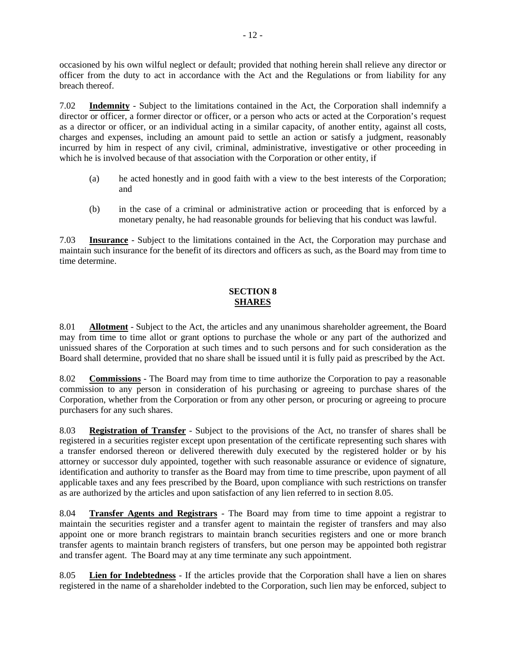occasioned by his own wilful neglect or default; provided that nothing herein shall relieve any director or officer from the duty to act in accordance with the Act and the Regulations or from liability for any breach thereof.

7.02 **Indemnity** - Subject to the limitations contained in the Act, the Corporation shall indemnify a director or officer, a former director or officer, or a person who acts or acted at the Corporation's request as a director or officer, or an individual acting in a similar capacity, of another entity, against all costs, charges and expenses, including an amount paid to settle an action or satisfy a judgment, reasonably incurred by him in respect of any civil, criminal, administrative, investigative or other proceeding in which he is involved because of that association with the Corporation or other entity, if

- (a) he acted honestly and in good faith with a view to the best interests of the Corporation; and
- (b) in the case of a criminal or administrative action or proceeding that is enforced by a monetary penalty, he had reasonable grounds for believing that his conduct was lawful.

7.03 **Insurance** - Subject to the limitations contained in the Act, the Corporation may purchase and maintain such insurance for the benefit of its directors and officers as such, as the Board may from time to time determine.

# **SECTION 8 SHARES**

8.01 **Allotment** - Subject to the Act, the articles and any unanimous shareholder agreement, the Board may from time to time allot or grant options to purchase the whole or any part of the authorized and unissued shares of the Corporation at such times and to such persons and for such consideration as the Board shall determine, provided that no share shall be issued until it is fully paid as prescribed by the Act.

8.02 **Commissions** - The Board may from time to time authorize the Corporation to pay a reasonable commission to any person in consideration of his purchasing or agreeing to purchase shares of the Corporation, whether from the Corporation or from any other person, or procuring or agreeing to procure purchasers for any such shares.

8.03 **Registration of Transfer** - Subject to the provisions of the Act, no transfer of shares shall be registered in a securities register except upon presentation of the certificate representing such shares with a transfer endorsed thereon or delivered therewith duly executed by the registered holder or by his attorney or successor duly appointed, together with such reasonable assurance or evidence of signature, identification and authority to transfer as the Board may from time to time prescribe, upon payment of all applicable taxes and any fees prescribed by the Board, upon compliance with such restrictions on transfer as are authorized by the articles and upon satisfaction of any lien referred to in section 8.05.

8.04 **Transfer Agents and Registrars** - The Board may from time to time appoint a registrar to maintain the securities register and a transfer agent to maintain the register of transfers and may also appoint one or more branch registrars to maintain branch securities registers and one or more branch transfer agents to maintain branch registers of transfers, but one person may be appointed both registrar and transfer agent. The Board may at any time terminate any such appointment.

8.05 **Lien for Indebtedness** - If the articles provide that the Corporation shall have a lien on shares registered in the name of a shareholder indebted to the Corporation, such lien may be enforced, subject to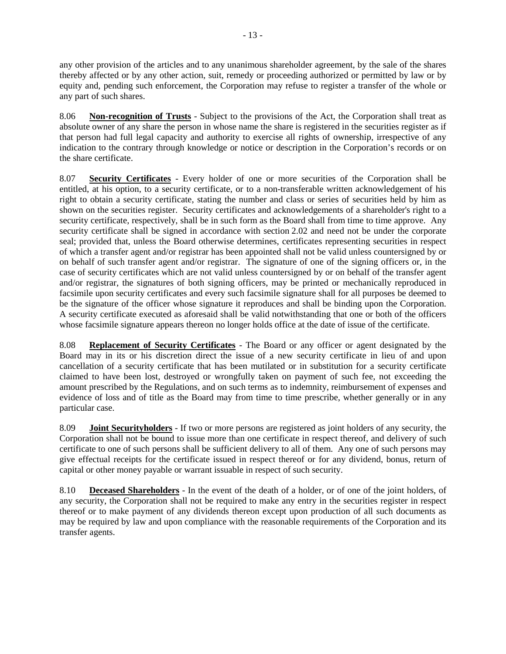any other provision of the articles and to any unanimous shareholder agreement, by the sale of the shares thereby affected or by any other action, suit, remedy or proceeding authorized or permitted by law or by equity and, pending such enforcement, the Corporation may refuse to register a transfer of the whole or any part of such shares.

8.06 **Non-recognition of Trusts** - Subject to the provisions of the Act, the Corporation shall treat as absolute owner of any share the person in whose name the share is registered in the securities register as if that person had full legal capacity and authority to exercise all rights of ownership, irrespective of any indication to the contrary through knowledge or notice or description in the Corporation's records or on the share certificate.

8.07 **Security Certificates** - Every holder of one or more securities of the Corporation shall be entitled, at his option, to a security certificate, or to a non-transferable written acknowledgement of his right to obtain a security certificate, stating the number and class or series of securities held by him as shown on the securities register. Security certificates and acknowledgements of a shareholder's right to a security certificate, respectively, shall be in such form as the Board shall from time to time approve. Any security certificate shall be signed in accordance with section 2.02 and need not be under the corporate seal; provided that, unless the Board otherwise determines, certificates representing securities in respect of which a transfer agent and/or registrar has been appointed shall not be valid unless countersigned by or on behalf of such transfer agent and/or registrar. The signature of one of the signing officers or, in the case of security certificates which are not valid unless countersigned by or on behalf of the transfer agent and/or registrar, the signatures of both signing officers, may be printed or mechanically reproduced in facsimile upon security certificates and every such facsimile signature shall for all purposes be deemed to be the signature of the officer whose signature it reproduces and shall be binding upon the Corporation. A security certificate executed as aforesaid shall be valid notwithstanding that one or both of the officers whose facsimile signature appears thereon no longer holds office at the date of issue of the certificate.

8.08 **Replacement of Security Certificates** - The Board or any officer or agent designated by the Board may in its or his discretion direct the issue of a new security certificate in lieu of and upon cancellation of a security certificate that has been mutilated or in substitution for a security certificate claimed to have been lost, destroyed or wrongfully taken on payment of such fee, not exceeding the amount prescribed by the Regulations, and on such terms as to indemnity, reimbursement of expenses and evidence of loss and of title as the Board may from time to time prescribe, whether generally or in any particular case.

8.09 **Joint Securityholders** - If two or more persons are registered as joint holders of any security, the Corporation shall not be bound to issue more than one certificate in respect thereof, and delivery of such certificate to one of such persons shall be sufficient delivery to all of them. Any one of such persons may give effectual receipts for the certificate issued in respect thereof or for any dividend, bonus, return of capital or other money payable or warrant issuable in respect of such security.

8.10 **Deceased Shareholders** - In the event of the death of a holder, or of one of the joint holders, of any security, the Corporation shall not be required to make any entry in the securities register in respect thereof or to make payment of any dividends thereon except upon production of all such documents as may be required by law and upon compliance with the reasonable requirements of the Corporation and its transfer agents.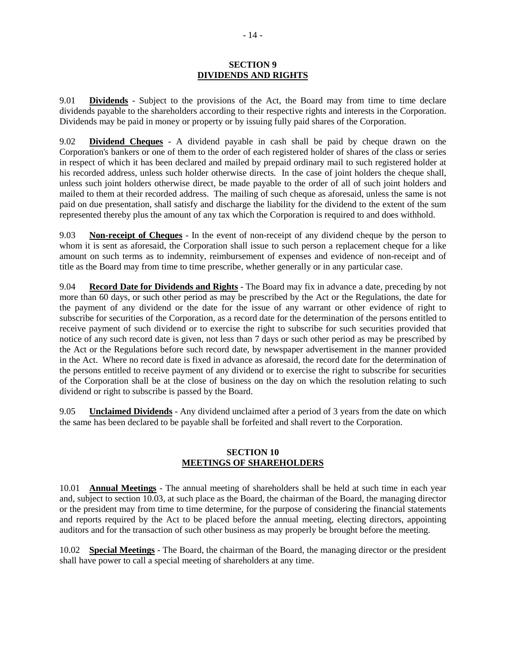#### **SECTION 9 DIVIDENDS AND RIGHTS**

9.01 **Dividends** - Subject to the provisions of the Act, the Board may from time to time declare dividends payable to the shareholders according to their respective rights and interests in the Corporation. Dividends may be paid in money or property or by issuing fully paid shares of the Corporation.

9.02 **Dividend Cheques** - A dividend payable in cash shall be paid by cheque drawn on the Corporation's bankers or one of them to the order of each registered holder of shares of the class or series in respect of which it has been declared and mailed by prepaid ordinary mail to such registered holder at his recorded address, unless such holder otherwise directs. In the case of joint holders the cheque shall, unless such joint holders otherwise direct, be made payable to the order of all of such joint holders and mailed to them at their recorded address. The mailing of such cheque as aforesaid, unless the same is not paid on due presentation, shall satisfy and discharge the liability for the dividend to the extent of the sum represented thereby plus the amount of any tax which the Corporation is required to and does withhold.

9.03 **Non-receipt of Cheques** - In the event of non-receipt of any dividend cheque by the person to whom it is sent as aforesaid, the Corporation shall issue to such person a replacement cheque for a like amount on such terms as to indemnity, reimbursement of expenses and evidence of non-receipt and of title as the Board may from time to time prescribe, whether generally or in any particular case.

9.04 **Record Date for Dividends and Rights** - The Board may fix in advance a date, preceding by not more than 60 days, or such other period as may be prescribed by the Act or the Regulations, the date for the payment of any dividend or the date for the issue of any warrant or other evidence of right to subscribe for securities of the Corporation, as a record date for the determination of the persons entitled to receive payment of such dividend or to exercise the right to subscribe for such securities provided that notice of any such record date is given, not less than 7 days or such other period as may be prescribed by the Act or the Regulations before such record date, by newspaper advertisement in the manner provided in the Act. Where no record date is fixed in advance as aforesaid, the record date for the determination of the persons entitled to receive payment of any dividend or to exercise the right to subscribe for securities of the Corporation shall be at the close of business on the day on which the resolution relating to such dividend or right to subscribe is passed by the Board.

9.05 **Unclaimed Dividends** - Any dividend unclaimed after a period of 3 years from the date on which the same has been declared to be payable shall be forfeited and shall revert to the Corporation.

#### **SECTION 10 MEETINGS OF SHAREHOLDERS**

10.01 **Annual Meetings** - The annual meeting of shareholders shall be held at such time in each year and, subject to section 10.03, at such place as the Board, the chairman of the Board, the managing director or the president may from time to time determine, for the purpose of considering the financial statements and reports required by the Act to be placed before the annual meeting, electing directors, appointing auditors and for the transaction of such other business as may properly be brought before the meeting.

10.02 **Special Meetings** - The Board, the chairman of the Board, the managing director or the president shall have power to call a special meeting of shareholders at any time.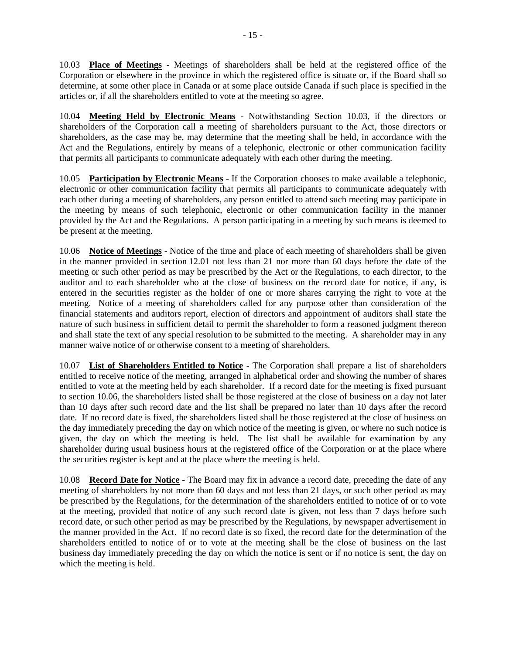10.03 **Place of Meetings** - Meetings of shareholders shall be held at the registered office of the Corporation or elsewhere in the province in which the registered office is situate or, if the Board shall so determine, at some other place in Canada or at some place outside Canada if such place is specified in the articles or, if all the shareholders entitled to vote at the meeting so agree.

10.04 **Meeting Held by Electronic Means** - Notwithstanding Section 10.03, if the directors or shareholders of the Corporation call a meeting of shareholders pursuant to the Act, those directors or shareholders, as the case may be, may determine that the meeting shall be held, in accordance with the Act and the Regulations, entirely by means of a telephonic, electronic or other communication facility that permits all participants to communicate adequately with each other during the meeting.

10.05 **Participation by Electronic Means** - If the Corporation chooses to make available a telephonic, electronic or other communication facility that permits all participants to communicate adequately with each other during a meeting of shareholders, any person entitled to attend such meeting may participate in the meeting by means of such telephonic, electronic or other communication facility in the manner provided by the Act and the Regulations. A person participating in a meeting by such means is deemed to be present at the meeting.

10.06 **Notice of Meetings** - Notice of the time and place of each meeting of shareholders shall be given in the manner provided in section 12.01 not less than 21 nor more than 60 days before the date of the meeting or such other period as may be prescribed by the Act or the Regulations, to each director, to the auditor and to each shareholder who at the close of business on the record date for notice, if any, is entered in the securities register as the holder of one or more shares carrying the right to vote at the meeting. Notice of a meeting of shareholders called for any purpose other than consideration of the financial statements and auditors report, election of directors and appointment of auditors shall state the nature of such business in sufficient detail to permit the shareholder to form a reasoned judgment thereon and shall state the text of any special resolution to be submitted to the meeting. A shareholder may in any manner waive notice of or otherwise consent to a meeting of shareholders.

10.07 **List of Shareholders Entitled to Notice** - The Corporation shall prepare a list of shareholders entitled to receive notice of the meeting, arranged in alphabetical order and showing the number of shares entitled to vote at the meeting held by each shareholder. If a record date for the meeting is fixed pursuant to section 10.06, the shareholders listed shall be those registered at the close of business on a day not later than 10 days after such record date and the list shall be prepared no later than 10 days after the record date. If no record date is fixed, the shareholders listed shall be those registered at the close of business on the day immediately preceding the day on which notice of the meeting is given, or where no such notice is given, the day on which the meeting is held. The list shall be available for examination by any shareholder during usual business hours at the registered office of the Corporation or at the place where the securities register is kept and at the place where the meeting is held.

10.08 **Record Date for Notice** - The Board may fix in advance a record date, preceding the date of any meeting of shareholders by not more than 60 days and not less than 21 days, or such other period as may be prescribed by the Regulations, for the determination of the shareholders entitled to notice of or to vote at the meeting, provided that notice of any such record date is given, not less than 7 days before such record date, or such other period as may be prescribed by the Regulations, by newspaper advertisement in the manner provided in the Act. If no record date is so fixed, the record date for the determination of the shareholders entitled to notice of or to vote at the meeting shall be the close of business on the last business day immediately preceding the day on which the notice is sent or if no notice is sent, the day on which the meeting is held.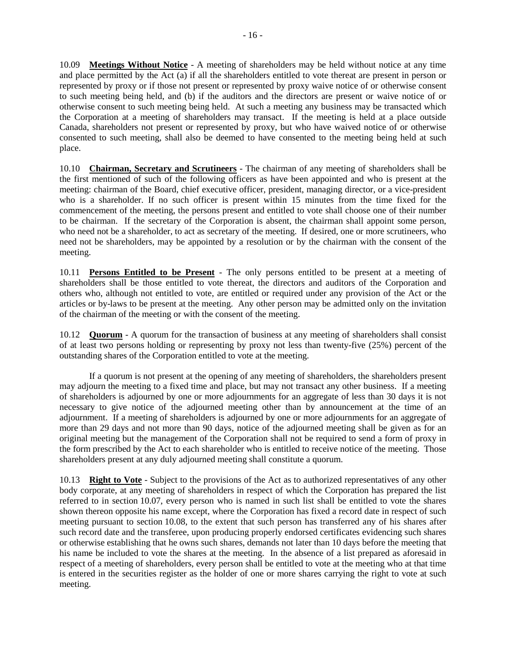10.09 **Meetings Without Notice** - A meeting of shareholders may be held without notice at any time and place permitted by the Act (a) if all the shareholders entitled to vote thereat are present in person or represented by proxy or if those not present or represented by proxy waive notice of or otherwise consent to such meeting being held, and (b) if the auditors and the directors are present or waive notice of or otherwise consent to such meeting being held. At such a meeting any business may be transacted which the Corporation at a meeting of shareholders may transact. If the meeting is held at a place outside Canada, shareholders not present or represented by proxy, but who have waived notice of or otherwise consented to such meeting, shall also be deemed to have consented to the meeting being held at such place.

10.10 **Chairman, Secretary and Scrutineers** - The chairman of any meeting of shareholders shall be the first mentioned of such of the following officers as have been appointed and who is present at the meeting: chairman of the Board, chief executive officer, president, managing director, or a vice-president who is a shareholder. If no such officer is present within 15 minutes from the time fixed for the commencement of the meeting, the persons present and entitled to vote shall choose one of their number to be chairman. If the secretary of the Corporation is absent, the chairman shall appoint some person, who need not be a shareholder, to act as secretary of the meeting. If desired, one or more scrutineers, who need not be shareholders, may be appointed by a resolution or by the chairman with the consent of the meeting.

10.11 **Persons Entitled to be Present** - The only persons entitled to be present at a meeting of shareholders shall be those entitled to vote thereat, the directors and auditors of the Corporation and others who, although not entitled to vote, are entitled or required under any provision of the Act or the articles or by-laws to be present at the meeting. Any other person may be admitted only on the invitation of the chairman of the meeting or with the consent of the meeting.

10.12 **Quorum** - A quorum for the transaction of business at any meeting of shareholders shall consist of at least two persons holding or representing by proxy not less than twenty-five (25%) percent of the outstanding shares of the Corporation entitled to vote at the meeting.

If a quorum is not present at the opening of any meeting of shareholders, the shareholders present may adjourn the meeting to a fixed time and place, but may not transact any other business. If a meeting of shareholders is adjourned by one or more adjournments for an aggregate of less than 30 days it is not necessary to give notice of the adjourned meeting other than by announcement at the time of an adjournment. If a meeting of shareholders is adjourned by one or more adjournments for an aggregate of more than 29 days and not more than 90 days, notice of the adjourned meeting shall be given as for an original meeting but the management of the Corporation shall not be required to send a form of proxy in the form prescribed by the Act to each shareholder who is entitled to receive notice of the meeting. Those shareholders present at any duly adjourned meeting shall constitute a quorum.

10.13 **Right to Vote** - Subject to the provisions of the Act as to authorized representatives of any other body corporate, at any meeting of shareholders in respect of which the Corporation has prepared the list referred to in section 10.07, every person who is named in such list shall be entitled to vote the shares shown thereon opposite his name except, where the Corporation has fixed a record date in respect of such meeting pursuant to section 10.08, to the extent that such person has transferred any of his shares after such record date and the transferee, upon producing properly endorsed certificates evidencing such shares or otherwise establishing that he owns such shares, demands not later than 10 days before the meeting that his name be included to vote the shares at the meeting. In the absence of a list prepared as aforesaid in respect of a meeting of shareholders, every person shall be entitled to vote at the meeting who at that time is entered in the securities register as the holder of one or more shares carrying the right to vote at such meeting.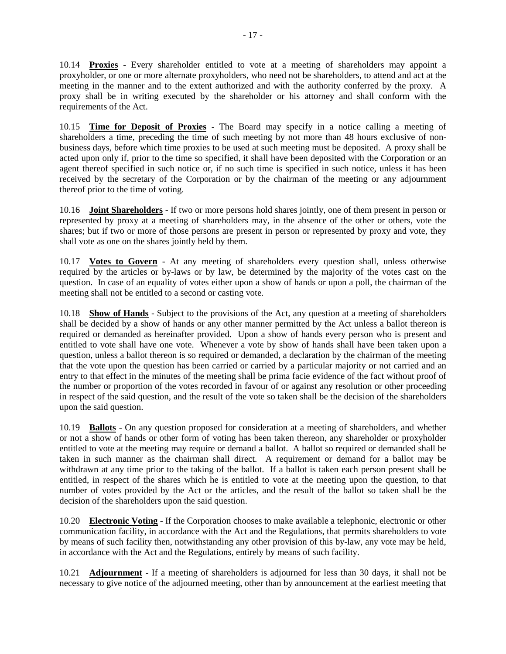10.14 **Proxies** - Every shareholder entitled to vote at a meeting of shareholders may appoint a proxyholder, or one or more alternate proxyholders, who need not be shareholders, to attend and act at the meeting in the manner and to the extent authorized and with the authority conferred by the proxy. A proxy shall be in writing executed by the shareholder or his attorney and shall conform with the requirements of the Act.

10.15 **Time for Deposit of Proxies** - The Board may specify in a notice calling a meeting of shareholders a time, preceding the time of such meeting by not more than 48 hours exclusive of nonbusiness days, before which time proxies to be used at such meeting must be deposited. A proxy shall be acted upon only if, prior to the time so specified, it shall have been deposited with the Corporation or an agent thereof specified in such notice or, if no such time is specified in such notice, unless it has been received by the secretary of the Corporation or by the chairman of the meeting or any adjournment thereof prior to the time of voting.

10.16 **Joint Shareholders** - If two or more persons hold shares jointly, one of them present in person or represented by proxy at a meeting of shareholders may, in the absence of the other or others, vote the shares; but if two or more of those persons are present in person or represented by proxy and vote, they shall vote as one on the shares jointly held by them.

10.17 **Votes to Govern** - At any meeting of shareholders every question shall, unless otherwise required by the articles or by-laws or by law, be determined by the majority of the votes cast on the question. In case of an equality of votes either upon a show of hands or upon a poll, the chairman of the meeting shall not be entitled to a second or casting vote.

10.18 **Show of Hands** - Subject to the provisions of the Act, any question at a meeting of shareholders shall be decided by a show of hands or any other manner permitted by the Act unless a ballot thereon is required or demanded as hereinafter provided. Upon a show of hands every person who is present and entitled to vote shall have one vote. Whenever a vote by show of hands shall have been taken upon a question, unless a ballot thereon is so required or demanded, a declaration by the chairman of the meeting that the vote upon the question has been carried or carried by a particular majority or not carried and an entry to that effect in the minutes of the meeting shall be prima facie evidence of the fact without proof of the number or proportion of the votes recorded in favour of or against any resolution or other proceeding in respect of the said question, and the result of the vote so taken shall be the decision of the shareholders upon the said question.

10.19 **Ballots** - On any question proposed for consideration at a meeting of shareholders, and whether or not a show of hands or other form of voting has been taken thereon, any shareholder or proxyholder entitled to vote at the meeting may require or demand a ballot. A ballot so required or demanded shall be taken in such manner as the chairman shall direct. A requirement or demand for a ballot may be withdrawn at any time prior to the taking of the ballot. If a ballot is taken each person present shall be entitled, in respect of the shares which he is entitled to vote at the meeting upon the question, to that number of votes provided by the Act or the articles, and the result of the ballot so taken shall be the decision of the shareholders upon the said question.

10.20 **Electronic Voting** - If the Corporation chooses to make available a telephonic, electronic or other communication facility, in accordance with the Act and the Regulations, that permits shareholders to vote by means of such facility then, notwithstanding any other provision of this by-law, any vote may be held, in accordance with the Act and the Regulations, entirely by means of such facility.

10.21 **Adjournment** - If a meeting of shareholders is adjourned for less than 30 days, it shall not be necessary to give notice of the adjourned meeting, other than by announcement at the earliest meeting that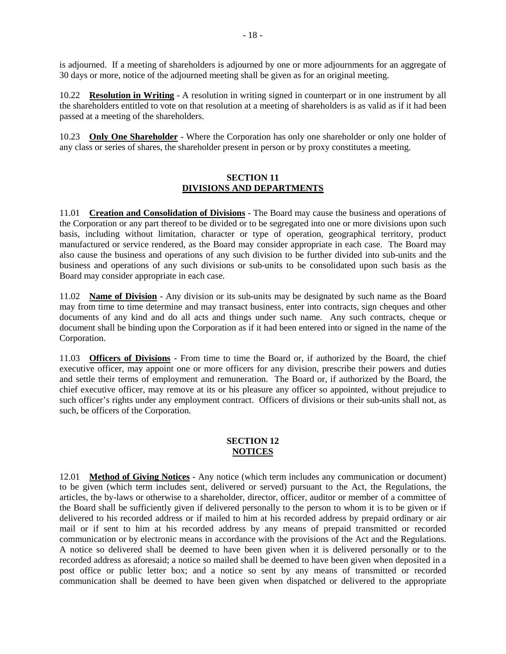is adjourned. If a meeting of shareholders is adjourned by one or more adjournments for an aggregate of 30 days or more, notice of the adjourned meeting shall be given as for an original meeting.

10.22 **Resolution in Writing** - A resolution in writing signed in counterpart or in one instrument by all the shareholders entitled to vote on that resolution at a meeting of shareholders is as valid as if it had been passed at a meeting of the shareholders.

10.23 **Only One Shareholder** - Where the Corporation has only one shareholder or only one holder of any class or series of shares, the shareholder present in person or by proxy constitutes a meeting.

#### **SECTION 11 DIVISIONS AND DEPARTMENTS**

11.01 **Creation and Consolidation of Divisions** - The Board may cause the business and operations of the Corporation or any part thereof to be divided or to be segregated into one or more divisions upon such basis, including without limitation, character or type of operation, geographical territory, product manufactured or service rendered, as the Board may consider appropriate in each case. The Board may also cause the business and operations of any such division to be further divided into sub-units and the business and operations of any such divisions or sub-units to be consolidated upon such basis as the Board may consider appropriate in each case.

11.02 **Name of Division** - Any division or its sub-units may be designated by such name as the Board may from time to time determine and may transact business, enter into contracts, sign cheques and other documents of any kind and do all acts and things under such name. Any such contracts, cheque or document shall be binding upon the Corporation as if it had been entered into or signed in the name of the Corporation.

11.03 **Officers of Divisions** - From time to time the Board or, if authorized by the Board, the chief executive officer, may appoint one or more officers for any division, prescribe their powers and duties and settle their terms of employment and remuneration. The Board or, if authorized by the Board, the chief executive officer, may remove at its or his pleasure any officer so appointed, without prejudice to such officer's rights under any employment contract. Officers of divisions or their sub-units shall not, as such, be officers of the Corporation.

# **SECTION 12 NOTICES**

12.01 **Method of Giving Notices** - Any notice (which term includes any communication or document) to be given (which term includes sent, delivered or served) pursuant to the Act, the Regulations, the articles, the by-laws or otherwise to a shareholder, director, officer, auditor or member of a committee of the Board shall be sufficiently given if delivered personally to the person to whom it is to be given or if delivered to his recorded address or if mailed to him at his recorded address by prepaid ordinary or air mail or if sent to him at his recorded address by any means of prepaid transmitted or recorded communication or by electronic means in accordance with the provisions of the Act and the Regulations. A notice so delivered shall be deemed to have been given when it is delivered personally or to the recorded address as aforesaid; a notice so mailed shall be deemed to have been given when deposited in a post office or public letter box; and a notice so sent by any means of transmitted or recorded communication shall be deemed to have been given when dispatched or delivered to the appropriate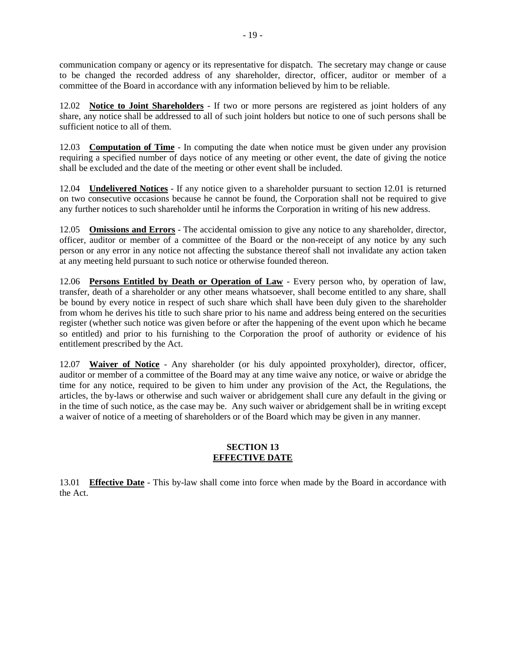communication company or agency or its representative for dispatch. The secretary may change or cause to be changed the recorded address of any shareholder, director, officer, auditor or member of a committee of the Board in accordance with any information believed by him to be reliable.

12.02 **Notice to Joint Shareholders** - If two or more persons are registered as joint holders of any share, any notice shall be addressed to all of such joint holders but notice to one of such persons shall be sufficient notice to all of them.

12.03 **Computation of Time** - In computing the date when notice must be given under any provision requiring a specified number of days notice of any meeting or other event, the date of giving the notice shall be excluded and the date of the meeting or other event shall be included.

12.04 **Undelivered Notices** - If any notice given to a shareholder pursuant to section 12.01 is returned on two consecutive occasions because he cannot be found, the Corporation shall not be required to give any further notices to such shareholder until he informs the Corporation in writing of his new address.

12.05 **Omissions and Errors** - The accidental omission to give any notice to any shareholder, director, officer, auditor or member of a committee of the Board or the non-receipt of any notice by any such person or any error in any notice not affecting the substance thereof shall not invalidate any action taken at any meeting held pursuant to such notice or otherwise founded thereon.

12.06 **Persons Entitled by Death or Operation of Law** - Every person who, by operation of law, transfer, death of a shareholder or any other means whatsoever, shall become entitled to any share, shall be bound by every notice in respect of such share which shall have been duly given to the shareholder from whom he derives his title to such share prior to his name and address being entered on the securities register (whether such notice was given before or after the happening of the event upon which he became so entitled) and prior to his furnishing to the Corporation the proof of authority or evidence of his entitlement prescribed by the Act.

12.07 **Waiver of Notice** - Any shareholder (or his duly appointed proxyholder), director, officer, auditor or member of a committee of the Board may at any time waive any notice, or waive or abridge the time for any notice, required to be given to him under any provision of the Act, the Regulations, the articles, the by-laws or otherwise and such waiver or abridgement shall cure any default in the giving or in the time of such notice, as the case may be. Any such waiver or abridgement shall be in writing except a waiver of notice of a meeting of shareholders or of the Board which may be given in any manner.

## **SECTION 13 EFFECTIVE DATE**

13.01 **Effective Date** - This by-law shall come into force when made by the Board in accordance with the Act.